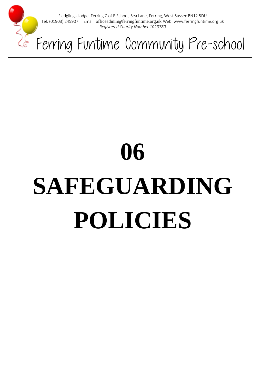

# **06 SAFEGUARDING POLICIES**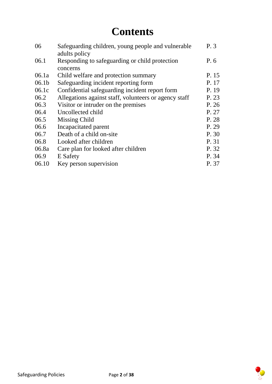# **Contents**

| 06                | Safeguarding children, young people and vulnerable<br>adults policy | P. 3  |
|-------------------|---------------------------------------------------------------------|-------|
| 06.1              | Responding to safeguarding or child protection                      | P. 6  |
|                   | concerns                                                            |       |
| 06.1a             | Child welfare and protection summary                                | P. 15 |
| 06.1 <sub>b</sub> | Safeguarding incident reporting form                                | P. 17 |
| 06.1c             | Confidential safeguarding incident report form                      | P. 19 |
| 06.2              | Allegations against staff, volunteers or agency staff               | P. 23 |
| 06.3              | Visitor or intruder on the premises                                 | P. 26 |
| 06.4              | Uncollected child                                                   | P. 27 |
| 06.5              | Missing Child                                                       | P. 28 |
| 06.6              | Incapacitated parent                                                | P. 29 |
| 06.7              | Death of a child on-site                                            | P. 30 |
| 06.8              | Looked after children                                               | P. 31 |
| 06.8a             | Care plan for looked after children                                 | P. 32 |
| 06.9              | E Safety                                                            | P. 34 |
| 06.10             | Key person supervision                                              | P. 37 |

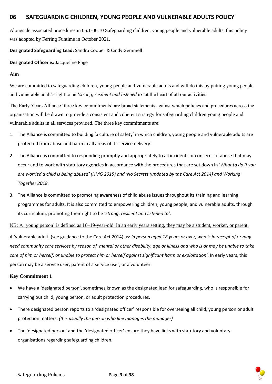# **06 SAFEGUARDING CHILDREN, YOUNG PEOPLE AND VULNERABLE ADULTS POLICY**

Alongside associated procedures in 06.1-06.10 Safeguarding children, young people and vulnerable adults, this policy was adopted by Ferring Funtime in October 2021.

# **Designated Safeguarding Lead:** Sandra Cooper & Cindy Gemmell

# **Designated Officer is:** Jacqueline Page

# **Aim**

We are committed to safeguarding children, young people and vulnerable adults and will do this by putting young people and vulnerable adult's right to be '*strong, resilient and listened to* 'at the heart of all our activities.

The Early Years Alliance 'three key commitments' are broad statements against which policies and procedures across the organisation will be drawn to provide a consistent and coherent strategy for safeguarding children young people and vulnerable adults in all services provided. The three key commitments are:

- 1. The Alliance is committed to building 'a culture of safety' in which children, young people and vulnerable adults are protected from abuse and harm in all areas of its service delivery.
- 2. The Alliance is committed to responding promptly and appropriately to all incidents or concerns of abuse that may occur and to work with statutory agencies in accordance with the procedures that are set down in '*What to do if you are worried a child is being abused' (HMG 2015) and 'No Secrets (updated by the Care Act 2014) and Working Together 2018.*
- 3. The Alliance is committed to promoting awareness of child abuse issues throughout its training and learning programmes for adults. It is also committed to empowering children, young people, and vulnerable adults, through its curriculum, promoting their right to be '*strong*, *resilient and listened to'*.

NB: A 'young person' is defined as 16–19-year-old. In an early years setting, they may be a student, worker, or parent.

A 'vulnerable adult' (see guidance to the Care Act 2014) as: *'a person aged 18 years or over, who is in receipt of or may need community care services by reason of 'mental or other disability, age or illness and who is or may be unable to take care of him or herself, or unable to protect him or herself against significant harm or exploitation'*. In early years, this person may be a service user, parent of a service user, or a volunteer.

# **Key Commitment 1**

- We have a 'designated person', sometimes known as the designated lead for safeguarding, who is responsible for carrying out child, young person, or adult protection procedures.
- There designated person reports to a 'designated officer' responsible for overseeing all child, young person or adult protection matters. *(It is usually the person who line manages the manager)*
- The 'designated person' and the 'designated officer' ensure they have links with statutory and voluntary organisations regarding safeguarding children.

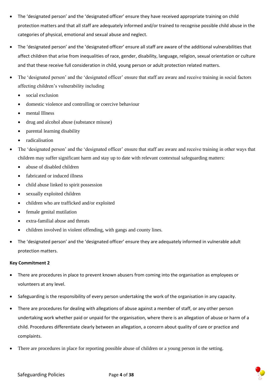- The 'designated person' and the 'designated officer' ensure they have received appropriate training on child protection matters and that all staff are adequately informed and/or trained to recognise possible child abuse in the categories of physical, emotional and sexual abuse and neglect.
- The 'designated person' and the 'designated officer' ensure all staff are aware of the additional vulnerabilities that affect children that arise from inequalities of race, gender, disability, language, religion, sexual orientation or culture and that these receive full consideration in child, young person or adult protection related matters.
- The 'designated person' and the 'designated officer' ensure that staff are aware and receive training in social factors affecting children's vulnerability including
	- social exclusion
	- domestic violence and controlling or coercive behaviour
	- mental Illness
	- drug and alcohol abuse (substance misuse)
	- parental learning disability
	- radicalisation
- The 'designated person' and the 'designated officer' ensure that staff are aware and receive training in other ways that children may suffer significant harm and stay up to date with relevant contextual safeguarding matters:
	- abuse of disabled children
	- fabricated or induced illness
	- child abuse linked to spirit possession
	- sexually exploited children
	- children who are trafficked and/or exploited
	- female genital mutilation
	- extra-familial abuse and threats
	- children involved in violent offending, with gangs and county lines.
- The 'designated person' and the 'designated officer' ensure they are adequately informed in vulnerable adult protection matters.

# **Key Commitment 2**

- There are procedures in place to prevent known abusers from coming into the organisation as employees or volunteers at any level.
- Safeguarding is the responsibility of every person undertaking the work of the organisation in any capacity.
- There are procedures for dealing with allegations of abuse against a member of staff, or any other person undertaking work whether paid or unpaid for the organisation, where there is an allegation of abuse or harm of a child. Procedures differentiate clearly between an allegation, a concern about quality of care or practice and complaints.
- There are procedures in place for reporting possible abuse of children or a young person in the setting.

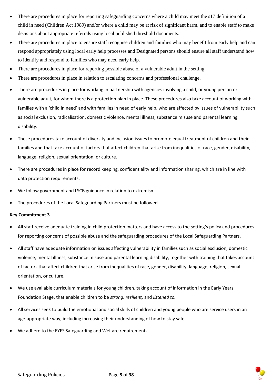- There are procedures in place for reporting safeguarding concerns where a child may meet the s17 definition of a child in need (Children Act 1989) and/or where a child may be at risk of significant harm, and to enable staff to make decisions about appropriate referrals using local published threshold documents.
- There are procedures in place to ensure staff recognise children and families who may benefit from early help and can respond appropriately using local early help processes and Designated persons should ensure all staff understand how to identify and respond to families who may need early help.
- There are procedures in place for reporting possible abuse of a vulnerable adult in the setting.
- There are procedures in place in relation to escalating concerns and professional challenge.
- There are procedures in place for working in partnership with agencies involving a child, or young person or vulnerable adult, for whom there is a protection plan in place. These procedures also take account of working with families with a 'child in need' and with families in need of early help, who are affected by issues of vulnerability such as social exclusion, radicalisation, domestic violence, mental illness, substance misuse and parental learning disability.
- These procedures take account of diversity and inclusion issues to promote equal treatment of children and their families and that take account of factors that affect children that arise from inequalities of race, gender, disability, language, religion, sexual orientation, or culture.
- There are procedures in place for record keeping, confidentiality and information sharing, which are in line with data protection requirements.
- We follow government and LSCB guidance in relation to extremism.
- The procedures of the Local Safeguarding Partners must be followed.

# **Key Commitment 3**

- All staff receive adequate training in child protection matters and have access to the setting's policy and procedures for reporting concerns of possible abuse and the safeguarding procedures of the Local Safeguarding Partners.
- All staff have adequate information on issues affecting vulnerability in families such as social exclusion, domestic violence, mental illness, substance misuse and parental learning disability, together with training that takes account of factors that affect children that arise from inequalities of race, gender, disability, language, religion, sexual orientation, or culture.
- We use available curriculum materials for young children, taking account of information in the Early Years Foundation Stage, that enable children to be *strong, resilient,* and *listened to.*
- All services seek to build the emotional and social skills of children and young people who are service users in an age-appropriate way, including increasing their understanding of how to stay safe.
- We adhere to the EYFS Safeguarding and Welfare requirements.

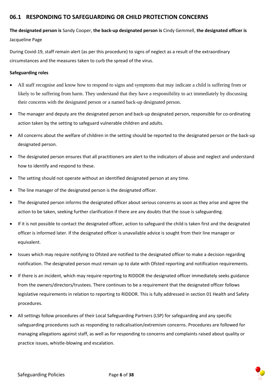# **06.1 RESPONDING TO SAFEGUARDING OR CHILD PROTECTION CONCERNS**

**The designated person is** Sandy Cooper, **the back-up designated person is** Cindy Gemmell, **the designated officer is** Jacqueline Page

During Covid-19, staff remain alert (as per this procedure) to signs of neglect as a result of the extraordinary circumstances and the measures taken to curb the spread of the virus.

### **Safeguarding roles**

- All staff recognise and know how to respond to signs and symptoms that may indicate a child is suffering from or likely to be suffering from harm. They understand that they have a responsibility to act immediately by discussing their concerns with the designated person or a named back-up designated person.
- The manager and deputy are the designated person and back-up designated person, responsible for co-ordinating action taken by the setting to safeguard vulnerable children and adults.
- All concerns about the welfare of children in the setting should be reported to the designated person or the back-up designated person.
- The designated person ensures that all practitioners are alert to the indicators of abuse and neglect and understand how to identify and respond to these.
- The setting should not operate without an identified designated person at any time.
- The line manager of the designated person is the designated officer.
- The designated person informs the designated officer about serious concerns as soon as they arise and agree the action to be taken, seeking further clarification if there are any doubts that the issue is safeguarding.
- If it is not possible to contact the designated officer, action to safeguard the child is taken first and the designated officer is informed later. If the designated officer is unavailable advice is sought from their line manager or equivalent.
- Issues which may require notifying to Ofsted are notified to the designated officer to make a decision regarding notification. The designated person must remain up to date with Ofsted reporting and notification requirements.
- If there is an incident, which may require reporting to RIDDOR the designated officer immediately seeks guidance from the owners/directors/trustees. There continues to be a requirement that the designated officer follows legislative requirements in relation to reporting to RIDDOR. This is fully addressed in section 01 Health and Safety procedures.
- All settings follow procedures of their Local Safeguarding Partners (LSP) for safeguarding and any specific safeguarding procedures such as responding to radicalisation/extremism concerns. Procedures are followed for managing allegations against staff, as well as for responding to concerns and complaints raised about quality or practice issues, whistle-blowing and escalation.





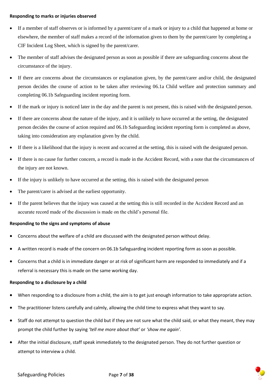### **Responding to marks or injuries observed**

- If a member of staff observes or is informed by a parent/carer of a mark or injury to a child that happened at home or elsewhere, the member of staff makes a record of the information given to them by the parent/carer by completing a CIF Incident Log Sheet, which is signed by the parent/carer.
- The member of staff advises the designated person as soon as possible if there are safeguarding concerns about the circumstance of the injury.
- If there are concerns about the circumstances or explanation given, by the parent/carer and/or child, the designated person decides the course of action to be taken after reviewing 06.1a Child welfare and protection summary and completing 06.1b Safeguarding incident reporting form.
- If the mark or injury is noticed later in the day and the parent is not present, this is raised with the designated person.
- If there are concerns about the nature of the injury, and it is unlikely to have occurred at the setting, the designated person decides the course of action required and 06.1b Safeguarding incident reporting form is completed as above, taking into consideration any explanation given by the child.
- If there is a likelihood that the injury is recent and occurred at the setting, this is raised with the designated person.
- If there is no cause for further concern, a record is made in the Accident Record, with a note that the circumstances of the injury are not known.
- If the injury is unlikely to have occurred at the setting, this is raised with the designated person
- The parent/carer is advised at the earliest opportunity.
- If the parent believes that the injury was caused at the setting this is still recorded in the Accident Record and an accurate record made of the discussion is made on the child's personal file.

### **Responding to the signs and symptoms of abuse**

- Concerns about the welfare of a child are discussed with the designated person without delay.
- A written record is made of the concern on 06.1b Safeguarding incident reporting form as soon as possible.
- Concerns that a child is in immediate danger or at risk of significant harm are responded to immediately and if a referral is necessary this is made on the same working day.

### **Responding to a disclosure by a child**

- When responding to a disclosure from a child, the aim is to get just enough information to take appropriate action.
- The practitioner listens carefully and calmly, allowing the child time to express what they want to say.
- Staff do not attempt to question the child but if they are not sure what the child said, or what they meant, they may prompt the child further by saying *'tell me more about that'* or *'show me again'.*
- After the initial disclosure, staff speak immediately to the designated person. They do not further question or attempt to interview a child.

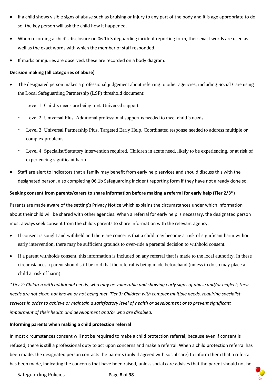- If a child shows visible signs of abuse such as bruising or injury to any part of the body and it is age appropriate to do so, the key person will ask the child how it happened.
- When recording a child's disclosure on 06.1b Safeguarding incident reporting form, their exact words are used as well as the exact words with which the member of staff responded.
- If marks or injuries are observed, these are recorded on a body diagram.

### **Decision making (all categories of abuse)**

- The designated person makes a professional judgement about referring to other agencies, including Social Care using the Local Safeguarding Partnership (LSP) threshold document:
	- Level 1: Child's needs are being met. Universal support.
	- Level 2: Universal Plus. Additional professional support is needed to meet child's needs.
	- Level 3: Universal Partnership Plus. Targeted Early Help. Coordinated response needed to address multiple or complex problems.
	- Level 4: Specialist/Statutory intervention required. Children in acute need, likely to be experiencing, or at risk of experiencing significant harm.
- Staff are alert to indicators that a family may benefit from early help services and should discuss this with the designated person, also completing 06.1b Safeguarding incident reporting form if they have not already done so.

# **Seeking consent from parents/carers to share information before making a referral for early help (Tier 2/3\*)**

Parents are made aware of the setting's Privacy Notice which explains the circumstances under which information about their child will be shared with other agencies. When a referral for early help is necessary, the designated person must always seek consent from the child's parents to share information with the relevant agency.

- If consent is sought and withheld and there are concerns that a child may become at risk of significant harm without early intervention, there may be sufficient grounds to over-ride a parental decision to withhold consent.
- If a parent withholds consent, this information is included on any referral that is made to the local authority. In these circumstances a parent should still be told that the referral is being made beforehand (unless to do so may place a child at risk of harm).

*\*Tier 2: Children with additional needs, who may be vulnerable and showing early signs of abuse and/or neglect; their needs are not clear, not known or not being met. Tier 3: Children with complex multiple needs, requiring specialist services in order to achieve or maintain a satisfactory level of health or development or to prevent significant impairment of their health and development and/or who are disabled.*

# **Informing parents when making a child protection referral**

In most circumstances consent will not be required to make a child protection referral, because even if consent is refused, there is still a professional duty to act upon concerns and make a referral. When a child protection referral has been made, the designated person contacts the parents (only if agreed with social care) to inform them that a referral has been made, indicating the concerns that have been raised, unless social care advises that the parent should not be

Safeguarding Policies Page **8** of **38**

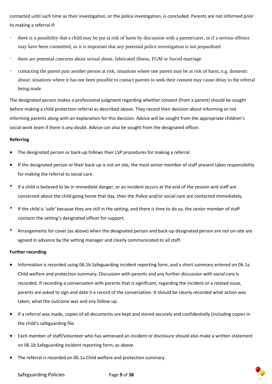contacted until such time as their investigation, or the police investigation, is concluded. Parents are not informed prior to making a referral if:

- there is a possibility that a child may be put at risk of harm by discussion with a parent/carer, or if a serious offence may have been committed, as it is important that any potential police investigation is not jeopardised
- there are potential concerns about sexual abuse, fabricated illness, FGM or forced marriage
- contacting the parent puts another person at risk; situations where one parent may be at risk of harm, e.g. domestic abuse; situations where it has not been possible to contact parents to seek their consent may cause delay to the referral being made

The designated person makes a professional judgment regarding whether consent (from a parent) should be sought before making a child protection referral as described above. They record their decision about informing or not informing parents along with an explanation for this decision. Advice will be sought from the appropriate children's social work team if there is any doubt. Advice can also be sought from the designated officer.

# **Referring**

- The designated person or back-up follows their LSP procedures for making a referral.
- If the designated person or their back-up is not on site, the most senior member of staff present takes responsibility for making the referral to social care.
- If a child is believed to be in immediate danger, or an incident occurs at the end of the session and staff are concerned about the child going home that day, then the Police and/or social care are contacted immediately.
- If the child is 'safe' because they are still in the setting, and there is time to do so, the senior member of staff contacts the setting's designated officer for support.
- Arrangements for cover (as above) when the designated person and back-up designated person are not on-site are agreed in advance by the setting manager and clearly communicated to all staff.

# **Further recording**

- Information is recorded using 06.1b Safeguarding incident reporting form, and a short summary entered on 06.1a Child welfare and protection summary**.** Discussion with parents and any further discussion with social care is recorded**.** If recording a conversation with parents that is significant, regarding the incident or a related issue, parents are asked to sign and date it a record of the conversation. It should be clearly recorded what action was taken, what the outcome was and any follow-up.
- If a referral was made, copies of all documents are kept and stored securely and confidentially (including copies in the child's safeguarding file.
- Each member of staff/volunteer who has witnessed an incident or disclosure should also make a written statement on 06.1b Safeguarding incident reporting form, as above.
- The referral is recorded on 06.1a Child welfare and protection summary.

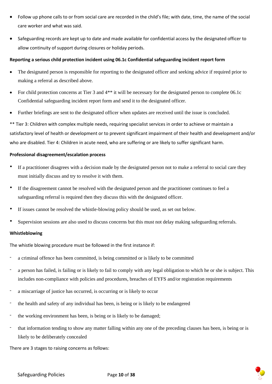- Follow up phone calls to or from social care are recorded in the child's file; with date, time, the name of the social care worker and what was said.
- Safeguarding records are kept up to date and made available for confidential access by the designated officer to allow continuity of support during closures or holiday periods.

### **Reporting a serious child protection incident using 06.1c Confidential safeguarding incident report form**

- The designated person is responsible for reporting to the designated officer and seeking advice if required prior to making a referral as described above.
- For child protection concerns at Tier 3 and 4\*\* it will be necessary for the designated person to complete 06.1c Confidential safeguarding incident report form and send it to the designated officer.
- Further briefings are sent to the designated officer when updates are received until the issue is concluded.

\*\* Tier 3: Children with complex multiple needs, requiring specialist services in order to achieve or maintain a satisfactory level of health or development or to prevent significant impairment of their health and development and/or who are disabled. Tier 4: Children in acute need, who are suffering or are likely to suffer significant harm.

# **Professional disagreement/escalation process**

- If a practitioner disagrees with a decision made by the designated person not to make a referral to social care they must initially discuss and try to resolve it with them.
- If the disagreement cannot be resolved with the designated person and the practitioner continues to feel a safeguarding referral is required then they discuss this with the designated officer.
- If issues cannot be resolved the whistle-blowing policy should be used, as set out below.
- Supervision sessions are also used to discuss concerns but this must not delay making safeguarding referrals.

### **Whistleblowing**

The whistle blowing procedure must be followed in the first instance if:

- a criminal offence has been committed, is being committed or is likely to be committed
- a person has failed, is failing or is likely to fail to comply with any legal obligation to which he or she is subject. This includes non-compliance with policies and procedures, breaches of EYFS and/or registration requirements
- a miscarriage of justice has occurred, is occurring or is likely to occur
- the health and safety of any individual has been, is being or is likely to be endangered
- the working environment has been, is being or is likely to be damaged;
- that information tending to show any matter falling within any one of the preceding clauses has been, is being or is likely to be deliberately concealed

There are 3 stages to raising concerns as follows:

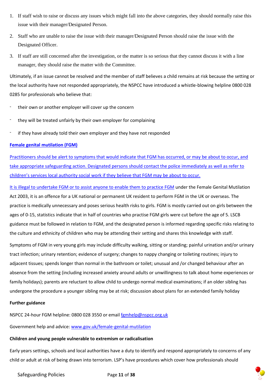- 1. If staff wish to raise or discuss any issues which might fall into the above categories, they should normally raise this issue with their manager/Designated Person.
- 2. Staff who are unable to raise the issue with their manager/Designated Person should raise the issue with the Designated Officer.
- 3. If staff are still concerned after the investigation, or the matter is so serious that they cannot discuss it with a line manager, they should raise the matter with the Committee.

Ultimately, if an issue cannot be resolved and the member of staff believes a child remains at risk because the setting or the local authority have not responded appropriately, the NSPCC have introduced a whistle-blowing helpline 0800 028 0285 for professionals who believe that:

- their own or another employer will cover up the concern
- they will be treated unfairly by their own employer for complaining
- if they have already told their own employer and they have not responded

# **Female genital mutilation (FGM)**

Practitioners should be alert to symptoms that would indicate that FGM has occurred, or may be about to occur, and take appropriate safeguarding action. Designated persons should contact the police immediately as well as refer to children's services local authority social work if they believe that FGM may be about to occur.

It is illegal to undertake FGM or to assist anyone to enable them to practice FGM under the Female Genital Mutilation Act 2003, it is an offence for a UK national or permanent UK resident to perform FGM in the UK or overseas. The practice is medically unnecessary and poses serious health risks to girls. FGM is mostly carried out on girls between the ages of 0-15, statistics indicate that in half of countries who practise FGM girls were cut before the age of 5. LSCB guidance must be followed in relation to FGM, and the designated person is informed regarding specific risks relating to the culture and ethnicity of children who may be attending their setting and shares this knowledge with staff.

Symptoms of FGM in very young girls may include difficulty walking, sitting or standing; painful urination and/or urinary tract infection; urinary retention; evidence of surgery; changes to nappy changing or toileting routines; injury to adjacent tissues; spends longer than normal in the bathroom or toilet; unusual and /or changed behaviour after an absence from the setting (including increased anxiety around adults or unwillingness to talk about home experiences or family holidays); parents are reluctant to allow child to undergo normal medical examinations; if an older sibling has undergone the procedure a younger sibling may be at risk; discussion about plans for an extended family holiday

### **Further guidance**

NSPCC 24-hour FGM helpline: 0800 028 3550 or emai[l fgmhelp@nspcc.org.uk](mailto:fgmhelp@nspcc.org.uk)

Government help and advice[: www.gov.uk/female-genital-mutilation](http://www.gov.uk/female-genital-mutilation)

# **Children and young people vulnerable to extremism or radicalisation**

Early years settings, schools and local authorities have a duty to identify and respond appropriately to concerns of any child or adult at risk of being drawn into terrorism. LSP's have procedures which cover how professionals should

Safeguarding Policies Page 11 of 38

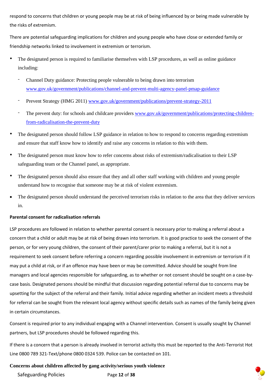respond to concerns that children or young people may be at risk of being influenced by or being made vulnerable by the risks of extremism.

There are potential safeguarding implications for children and young people who have close or extended family or friendship networks linked to involvement in extremism or terrorism.

- The designated person is required to familiarise themselves with LSP procedures, as well as online guidance including:
	- Channel Duty guidance: Protecting people vulnerable to being drawn into terrorism [www.gov.uk/government/publications/channel-and-prevent-multi-agency-panel-pmap-guidance](http://www.gov.uk/government/publications/channel-and-prevent-multi-agency-panel-pmap-guidance)
	- Prevent Strategy (HMG 2011) [www.gov.uk/government/publications/prevent-strategy-2011](http://www.gov.uk/government/publications/prevent-strategy-2011)
	- The prevent duty: for schools and childcare providers [www.gov.uk/government/publications/protecting-children](http://www.gov.uk/government/publications/protecting-children-from-radicalisation-the-prevent-duty)[from-radicalisation-the-prevent-duty](http://www.gov.uk/government/publications/protecting-children-from-radicalisation-the-prevent-duty)
- The designated person should follow LSP guidance in relation to how to respond to concerns regarding extremism and ensure that staff know how to identify and raise any concerns in relation to this with them.
- The designated person must know how to refer concerns about risks of extremism/radicalisation to their LSP safeguarding team or the Channel panel, as appropriate.
- The designated person should also ensure that they and all other staff working with children and young people understand how to recognise that someone may be at risk of violent extremism.
- The designated person should understand the perceived terrorism risks in relation to the area that they deliver services in.

# **Parental consent for radicalisation referrals**

LSP procedures are followed in relation to whether parental consent is necessary prior to making a referral about a concern that a child or adult may be at risk of being drawn into terrorism. It is good practice to seek the consent of the person, or for very young children, the consent of their parent/carer prior to making a referral, but it is not a requirement to seek consent before referring a concern regarding possible involvement in extremism or terrorism if it may put a child at risk, or if an offence may have been or may be committed. Advice should be sought from line managers and local agencies responsible for safeguarding, as to whether or not consent should be sought on a case-bycase basis. Designated persons should be mindful that discussion regarding potential referral due to concerns may be upsetting for the subject of the referral and their family. Initial advice regarding whether an incident meets a threshold for referral can be sought from the relevant local agency without specific details such as names of the family being given in certain circumstances.

Consent is required prior to any individual engaging with a Channel intervention. Consent is usually sought by Channel partners, but LSP procedures should be followed regarding this.

If there is a concern that a person is already involved in terrorist activity this must be reported to the Anti-Terrorist Hot Line 0800 789 321-Text/phone 0800 0324 539. Police can be contacted on 101.

**Concerns about children affected by gang activity/serious youth violence**

Safeguarding Policies Page 12 of 38

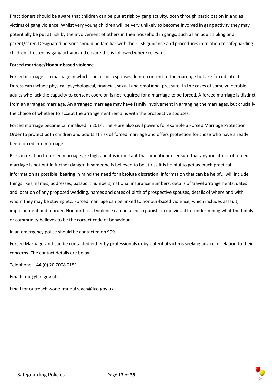Practitioners should be aware that children can be put at risk by gang activity, both through participation in and as victims of gang violence. Whilst very young children will be very unlikely to become involved in gang activity they may potentially be put at risk by the involvement of others in their household in gangs, such as an adult sibling or a parent/carer. Designated persons should be familiar with their LSP guidance and procedures in relation to safeguarding children affected by gang activity and ensure this is followed where relevant.

### **Forced marriage/Honour based violence**

Forced marriage is a marriage in which one or both spouses do not consent to the marriage but are forced into it. Duress can include physical, psychological, financial, sexual and emotional pressure. In the cases of some vulnerable adults who lack the capacity to consent coercion is not required for a marriage to be forced. A forced marriage is distinct from an arranged marriage. An arranged marriage may have family involvement in arranging the marriages, but crucially the choice of whether to accept the arrangement remains with the prospective spouses.

Forced marriage became criminalised in 2014. There are also civil powers for example a Forced Marriage Protection Order to protect both children and adults at risk of forced marriage and offers protection for those who have already been forced into marriage.

Risks in relation to forced marriage are high and it is important that practitioners ensure that anyone at risk of forced marriage is not put in further danger. If someone is believed to be at risk it is helpful to get as much practical information as possible, bearing in mind the need for absolute discretion, information that can be helpful will include things likes, names, addresses, passport numbers, national insurance numbers, details of travel arrangements, dates and location of any proposed wedding, names and dates of birth of prospective spouses, details of where and with whom they may be staying etc. Forced marriage can be linked to honour-based violence, which includes assault, imprisonment and murder. Honour based violence can be used to punish an individual for undermining what the family or community believes to be the correct code of behaviour.

In an emergency police should be contacted on 999.

Forced Marriage Unit can be contacted either by professionals or by potential victims seeking advice in relation to their concerns. The contact details are below.

Telephone: +44 (0) 20 7008 0151

Email: [fmu@fco.gov.uk](mailto:fmu@fco.gov.uk)

Email for outreach work: [fmuoutreach@fco.gov.uk](mailto:fmuoutreach@fco.gov.uk)

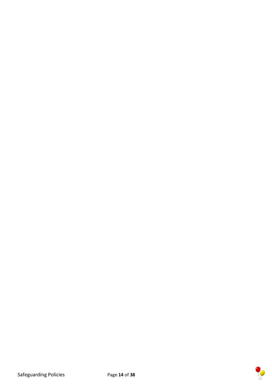



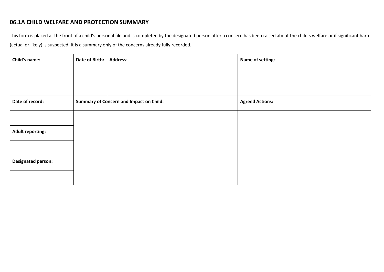# **06.1A CHILD WELFARE AND PROTECTION SUMMARY**

This form is placed at the front of a child's personal file and is completed by the designated person after a concern has been raised about the child's welfare or if significant harm (actual or likely) is suspected. It is a summary only of the concerns already fully recorded.

| Child's name:             | Date of Birth:                                 | <b>Address:</b> | Name of setting:       |
|---------------------------|------------------------------------------------|-----------------|------------------------|
|                           |                                                |                 |                        |
|                           |                                                |                 |                        |
| Date of record:           | <b>Summary of Concern and Impact on Child:</b> |                 | <b>Agreed Actions:</b> |
|                           |                                                |                 |                        |
| <b>Adult reporting:</b>   |                                                |                 |                        |
|                           |                                                |                 |                        |
| <b>Designated person:</b> |                                                |                 |                        |
|                           |                                                |                 |                        |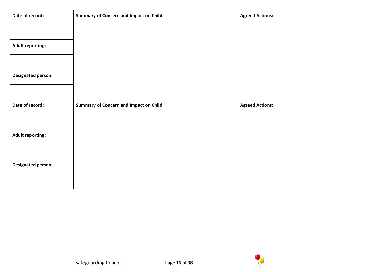| Date of record:           | <b>Summary of Concern and Impact on Child:</b> | <b>Agreed Actions:</b> |
|---------------------------|------------------------------------------------|------------------------|
|                           |                                                |                        |
| <b>Adult reporting:</b>   |                                                |                        |
|                           |                                                |                        |
| <b>Designated person:</b> |                                                |                        |
|                           |                                                |                        |
| Date of record:           | <b>Summary of Concern and Impact on Child:</b> | <b>Agreed Actions:</b> |
|                           |                                                |                        |
| <b>Adult reporting:</b>   |                                                |                        |
|                           |                                                |                        |
|                           |                                                |                        |
| <b>Designated person:</b> |                                                |                        |

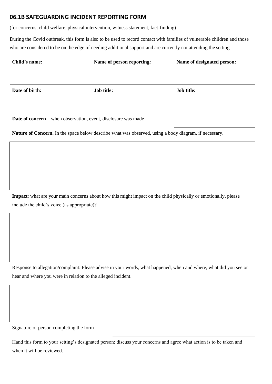# **06.1B SAFEGUARDING INCIDENT REPORTING FORM**

(for concerns, child welfare, physical intervention, witness statement, fact-finding)

During the Covid outbreak, this form is also to be used to record contact with families of vulnerable children and those who are considered to be on the edge of needing additional support and are currently not attending the setting

| Child's name:  | Name of person reporting: | Name of designated person: |
|----------------|---------------------------|----------------------------|
| Date of birth: | <b>Job title:</b>         | <b>Job title:</b>          |

**Date of concern** – when observation, event, disclosure was made

**Nature of Concern.** In the space below describe what was observed, using a body diagram, if necessary.

**Impact**: what are your main concerns about how this might impact on the child physically or emotionally, please include the child's voice (as appropriate)?

Response to allegation/complaint: Please advise in your words, what happened, when and where, what did you see or hear and where you were in relation to the alleged incident.

Signature of person completing the form

Hand this form to your setting's designated person; discuss your concerns and agree what action is to be taken and when it will be reviewed.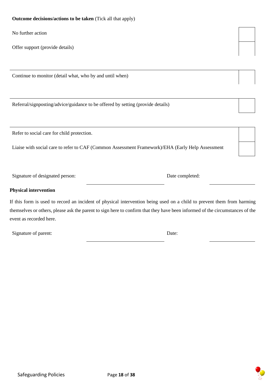# **Outcome decisions/actions to be taken** (Tick all that apply)

No further action

Offer support (provide details)

Continue to monitor (detail what, who by and until when)

Referral/signposting/advice/guidance to be offered by setting (provide details)

Refer to social care for child protection.

Liaise with social care to refer to CAF (Common Assessment Framework)/EHA (Early Help Assessment

Signature of designated person: Date completed: Date completed:

### **Physical intervention**

If this form is used to record an incident of physical intervention being used on a child to prevent them from harming themselves or others, please ask the parent to sign here to confirm that they have been informed of the circumstances of the event as recorded here.

Signature of parent: Date: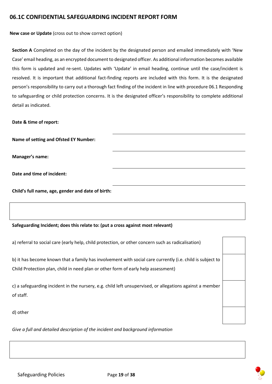# **06.1C CONFIDENTIAL SAFEGUARDING INCIDENT REPORT FORM**

**New case or Update** (cross out to show correct option)

**Section A** Completed on the day of the incident by the designated person and emailed immediately with 'New Case' email heading, as an encrypted document to designated officer. As additional information becomes available this form is updated and re-sent. Updates with 'Update' in email heading, continue until the case/incident is resolved. It is important that additional fact-finding reports are included with this form. It is the designated person's responsibility to carry out a thorough fact finding of the incident in line with procedure 06.1 Responding to safeguarding or child protection concerns. It is the designated officer's responsibility to complete additional detail as indicated.

### **Date & time of report:**

**Name of setting and Ofsted EY Number:**

**Manager's name:**

**Date and time of incident:**

**Child's full name, age, gender and date of birth:**

# **Safeguarding Incident; does this relate to: (put a cross against most relevant)**

a) referral to social care (early help, child protection, or other concern such as radicalisation)

b) it has become known that a family has involvement with social care currently (i.e. child is subject to Child Protection plan, child in need plan or other form of early help assessment)

c) a safeguarding incident in the nursery, e.g. child left unsupervised, or allegations against a member of staff.

d) other

*Give a full and detailed description of the incident and background information*

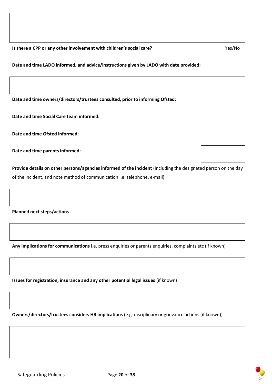**Is there a CPP or any other involvement with children's social care?** The state of the Yes/No

**Date and time LADO informed, and advice/instructions given by LADO with date provided:**

**Date and time owners/directors/trustees consulted, prior to informing Ofsted:**

**Date and time Social Care team informed:**

**Date and time Ofsted informed:**

**Date and time parents informed:**

**Provide details on other persons/agencies informed of the incident** (including the designated person on the day of the incident, and note method of communication i.e. telephone, e-mail)

**Planned next steps/actions**

**Any implications for communications** i.e. press enquiries or parents enquiries, complaints etc (if known)

**Issues for registration, insurance and any other potential legal issues** (if known)

**Owners/directors/trustees considers HR implications** (e.g. disciplinary or grievance actions (if known))

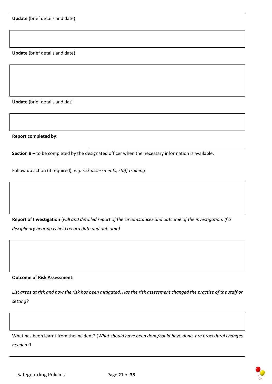**Update** (brief details and date)

**Update** (brief details and dat)

**Report completed by:**

**Section B** – to be completed by the designated officer when the necessary information is available.

Follow up action (if required), *e.g. risk assessments, staff training*

**Report of Investigation** (*Full and detailed report of the circumstances and outcome of the investigation. If a disciplinary hearing is held record date and outcome)*

### **Outcome of Risk Assessment:**

*List areas at risk and how the risk has been mitigated. Has the risk assessment changed the practise of the staff or setting?*

What has been learnt from the incident? (*What should have been done/could have done, are procedural changes needed?)* 

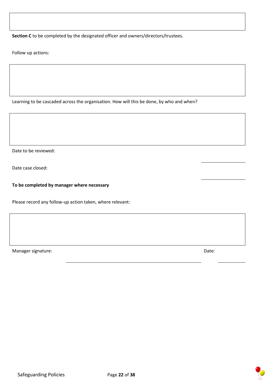**Section C** to be completed by the designated officer and owners/directors/trustees.

Follow up actions:

Learning to be cascaded across the organisation. How will this be done, by who and when?

Date to be reviewed:

Date case closed:

**To be completed by manager where necessary**

Please record any follow-up action taken, where relevant:

Manager signature: Date: Date: Date: Date: Date: Date: Date: Date: Date: Date: Date: Date: Date: Date: Date: Date: Date: Date: Date: Date: Date: Date: Date: Date: Date: Date: Date: Date: Date: Date: Date: Date: Date: Date:

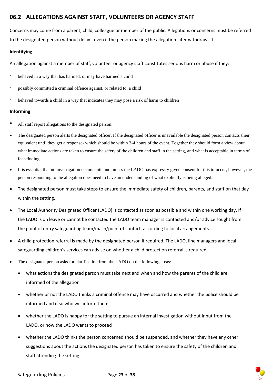# **06.2 ALLEGATIONS AGAINST STAFF, VOLUNTEERS OR AGENCY STAFF**

Concerns may come from a parent, child, colleague or member of the public. Allegations or concerns must be referred to the designated person without delay - even if the person making the allegation later withdraws it.

# **Identifying**

An allegation against a member of staff, volunteer or agency staff constitutes serious harm or abuse if they:

- behaved in a way that has harmed, or may have harmed a child
- possibly committed a criminal offence against, or related to, a child
- behaved towards a child in a way that indicates they may pose a risk of harm to children

# **Informing**

- All staff report allegations to the designated person.
- The designated person alerts the designated officer. If the designated officer is unavailable the designated person contacts their equivalent until they get a response- which should be within 3-4 hours of the event. Together they should form a view about what immediate actions are taken to ensure the safety of the children and staff in the setting, and what is acceptable in terms of fact-finding.
- It is essential that no investigation occurs until and unless the LADO has expressly given consent for this to occur, however, the person responding to the allegation does need to have an understanding of what explicitly is being alleged.
- The designated person must take steps to ensure the immediate safety of children, parents, and staff on that day within the setting.
- The Local Authority Designated Officer (LADO) is contacted as soon as possible and within one working day. If the LADO is on leave or cannot be contacted the LADO team manager is contacted and/or advice sought from the point of entry safeguarding team/mash/point of contact, according to local arrangements.
- A child protection referral is made by the designated person if required. The LADO, line managers and local safeguarding children's services can advise on whether a child protection referral is required.
- The designated person asks for clarification from the LADO on the following areas:
	- what actions the designated person must take next and when and how the parents of the child are informed of the allegation
	- whether or not the LADO thinks a criminal offence may have occurred and whether the police should be informed and if so who will inform them
	- whether the LADO is happy for the setting to pursue an internal investigation without input from the LADO, or how the LADO wants to proceed
	- whether the LADO thinks the person concerned should be suspended, and whether they have any other suggestions about the actions the designated person has taken to ensure the safety of the children and staff attending the setting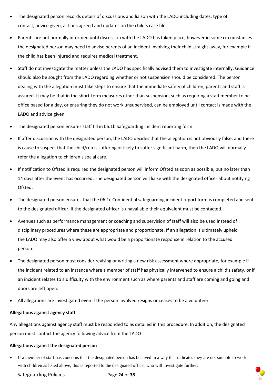- The designated person records details of discussions and liaison with the LADO including dates, type of contact, advice given, actions agreed and updates on the child's case file.
- Parents are not normally informed until discussion with the LADO has taken place, however in some circumstances the designated person may need to advise parents of an incident involving their child straight away, for example if the child has been injured and requires medical treatment.
- Staff do not investigate the matter unless the LADO has specifically advised them to investigate internally. Guidance should also be sought from the LADO regarding whether or not suspension should be considered. The person dealing with the allegation must take steps to ensure that the immediate safety of children, parents and staff is assured. It may be that in the short-term measures other than suspension, such as requiring a staff member to be office based for a day, or ensuring they do not work unsupervised, can be employed until contact is made with the LADO and advice given.
- The designated person ensures staff fill in 06.1b Safeguarding incident reporting form.
- If after discussion with the designated person, the LADO decides that the allegation is not obviously false, and there is cause to suspect that the child/ren is suffering or likely to suffer significant harm, then the LADO will normally refer the allegation to children's social care.
- If notification to Ofsted is required the designated person will inform Ofsted as soon as possible, but no later than 14 days after the event has occurred. The designated person will liaise with the designated officer about notifying Ofsted.
- The designated person ensures that the 06.1c Confidential safeguarding incident report form is completed and sent to the designated officer. If the designated officer is unavailable their equivalent must be contacted.
- Avenues such as performance management or coaching and supervision of staff will also be used instead of disciplinary procedures where these are appropriate and proportionate. If an allegation is ultimately upheld the LADO may also offer a view about what would be a proportionate response in relation to the accused person.
- The designated person must consider revising or writing a new risk assessment where appropriate, for example if the incident related to an instance where a member of staff has physically intervened to ensure a child's safety, or if an incident relates to a difficulty with the environment such as where parents and staff are coming and going and doors are left open.
- All allegations are investigated even if the person involved resigns or ceases to be a volunteer.

### **Allegations against agency staff**

Any allegations against agency staff must be responded to as detailed in this procedure. In addition, the designated person must contact the agency following advice from the LADO

### **Allegations against the designated person**

• If a member of staff has concerns that the designated person has behaved in a way that indicates they are not suitable to work with children as listed above, this is reported to the designated officer who will investigate further.

Safeguarding Policies Page **24** of **38**

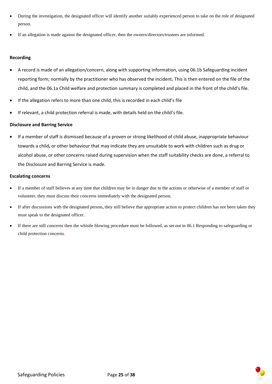- During the investigation, the designated officer will identify another suitably experienced person to take on the role of designated person.
- If an allegation is made against the designated officer, then the owners/directors/trustees are informed.

### **Recording**

- A record is made of an allegation/concern, along with supporting information, using 06.1b Safeguarding incident reporting form; normally by the practitioner who has observed the incident**.** This is then entered on the file of the child, and the 06.1a Child welfare and protection summary is completed and placed in the front of the child's file.
- If the allegation refers to more than one child, this is recorded in each child's file
- If relevant, a child protection referral is made, with details held on the child's file.

# **Disclosure and Barring Service**

• If a member of staff is dismissed because of a proven or strong likelihood of child abuse, inappropriate behaviour towards a child**,** or other behaviour that may indicate they are unsuitable to work with children such as drug or alcohol abuse, or other concerns raised during supervision when the staff suitability checks are done, a referral to the Disclosure and Barring Service is made.

### **Escalating concerns**

- If a member of staff believes at any time that children may be in danger due to the actions or otherwise of a member of staff or volunteer, they must discuss their concerns immediately with the designated person.
- If after discussions with the designated person**,** they still believe that appropriate action to protect children has not been taken they must speak to the designated officer.
- If there are still concerns then the whistle blowing procedure must be followed, as set out in 06.1 Responding to safeguarding or child protection concerns.

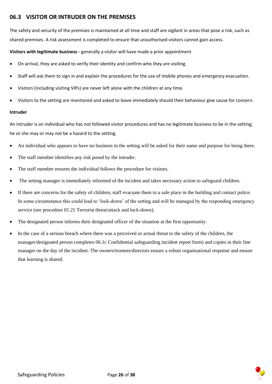# **06.3 VISITOR OR INTRUDER ON THE PREMISES**

The safety and security of the premises is maintained at all time and staff are vigilant in areas that pose a risk, such as shared premises. A risk assessment is completed to ensure that unauthorised visitors cannot gain access.

**Visitors with legitimate business -** generally a visitor will have made a prior appointment

- On arrival, they are asked to verify their identity and confirm who they are visiting.
- Staff will ask them to sign in and explain the procedures for the use of mobile phones and emergency evacuation.
- Visitors (including visiting VIPs) are never left alone with the children at any time.
- Visitors to the setting are monitored and asked to leave immediately should their behaviour give cause for concern.

### **Intruder**

An intruder is an individual who has not followed visitor procedures and has no legitimate business to be in the setting; he or she may or may not be a hazard to the setting.

- An individual who appears to have no business in the setting will be asked for their name and purpose for being there.
- The staff member identifies any risk posed by the intruder.
- The staff member ensures the individual follows the procedure for visitors.
- The setting manager is immediately informed of the incident and takes necessary action to safeguard children.
- If there are concerns for the safety of children, staff evacuate them to a safe place in the building and contact police. In some circumstance this could lead to 'lock-down' of the setting and will be managed by the responding emergency service (see procedure 01.21 Terrorist threat/attack and lock-down).
- The designated person informs their designated officer of the situation at the first opportunity.
- In the case of a serious breach where there was a perceived or actual threat to the safety of the children, the manager/designated person completes 06.1c Confidential safeguarding incident report form) and copies in their line manager on the day of the incident. The owners/trustees/directors ensure a robust organisational response and ensure that learning is shared.

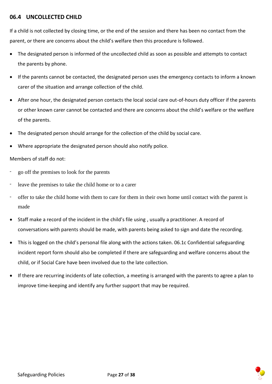# **06.4 UNCOLLECTED CHILD**

If a child is not collected by closing time, or the end of the session and there has been no contact from the parent, or there are concerns about the child's welfare then this procedure is followed.

- The designated person is informed of the uncollected child as soon as possible and attempts to contact the parents by phone.
- If the parents cannot be contacted, the designated person uses the emergency contacts to inform a known carer of the situation and arrange collection of the child.
- After one hour, the designated person contacts the local social care out-of-hours duty officer if the parents or other known carer cannot be contacted and there are concerns about the child's welfare or the welfare of the parents.
- The designated person should arrange for the collection of the child by social care.
- Where appropriate the designated person should also notify police.

# Members of staff do not:

- go off the premises to look for the parents
- leave the premises to take the child home or to a carer
- offer to take the child home with them to care for them in their own home until contact with the parent is made
- Staff make a record of the incident in the child's file using , usually a practitioner. A record of conversations with parents should be made, with parents being asked to sign and date the recording.
- This is logged on the child's personal file along with the actions taken. 06.1c Confidential safeguarding incident report form should also be completed if there are safeguarding and welfare concerns about the child, or if Social Care have been involved due to the late collection.
- If there are recurring incidents of late collection, a meeting is arranged with the parents to agree a plan to improve time-keeping and identify any further support that may be required.

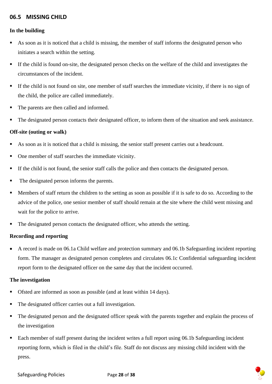# **06.5 MISSING CHILD**

# **In the building**

- As soon as it is noticed that a child is missing, the member of staff informs the designated person who initiates a search within the setting.
- If the child is found on-site, the designated person checks on the welfare of the child and investigates the circumstances of the incident.
- If the child is not found on site, one member of staff searches the immediate vicinity, if there is no sign of the child, the police are called immediately.
- The parents are then called and informed.
- The designated person contacts their designated officer, to inform them of the situation and seek assistance.

# **Off-site (outing or walk)**

- As soon as it is noticed that a child is missing, the senior staff present carries out a headcount.
- One member of staff searches the immediate vicinity.
- If the child is not found, the senior staff calls the police and then contacts the designated person.
- The designated person informs the parents.
- Members of staff return the children to the setting as soon as possible if it is safe to do so. According to the advice of the police, one senior member of staff should remain at the site where the child went missing and wait for the police to arrive.
- The designated person contacts the designated officer, who attends the setting.

# **Recording and reporting**

• A record is made on 06.1a Child welfare and protection summary and 06.1b Safeguarding incident reporting form. The manager as designated person completes and circulates 06.1c Confidential safeguarding incident report form to the designated officer on the same day that the incident occurred.

# **The investigation**

- Ofsted are informed as soon as possible (and at least within 14 days).
- The designated officer carries out a full investigation.
- The designated person and the designated officer speak with the parents together and explain the process of the investigation
- Each member of staff present during the incident writes a full report using 06.1b Safeguarding incident reporting form, which is filed in the child's file. Staff do not discuss any missing child incident with the press.

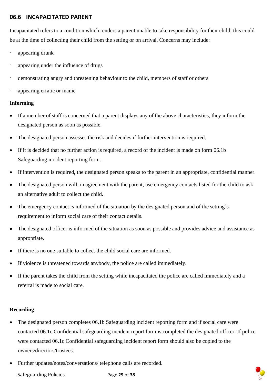# **06.6 INCAPACITATED PARENT**

Incapacitated refers to a condition which renders a parent unable to take responsibility for their child; this could be at the time of collecting their child from the setting or on arrival. Concerns may include:

- appearing drunk
- appearing under the influence of drugs
- demonstrating angry and threatening behaviour to the child, members of staff or others
- appearing erratic or manic

# **Informing**

- If a member of staff is concerned that a parent displays any of the above characteristics, they inform the designated person as soon as possible.
- The designated person assesses the risk and decides if further intervention is required.
- If it is decided that no further action is required, a record of the incident is made on form 06.1b Safeguarding incident reporting form.
- If intervention is required, the designated person speaks to the parent in an appropriate, confidential manner.
- The designated person will, in agreement with the parent, use emergency contacts listed for the child to ask an alternative adult to collect the child.
- The emergency contact is informed of the situation by the designated person and of the setting's requirement to inform social care of their contact details.
- The designated officer is informed of the situation as soon as possible and provides advice and assistance as appropriate.
- If there is no one suitable to collect the child social care are informed.
- If violence is threatened towards anybody, the police are called immediately.
- If the parent takes the child from the setting while incapacitated the police are called immediately and a referral is made to social care.

# **Recording**

- The designated person completes 06.1b Safeguarding incident reporting form and if social care were contacted 06.1c Confidential safeguarding incident report form is completed the designated officer. If police were contacted 06.1c Confidential safeguarding incident report form should also be copied to the owners/directors/trustees.
- Further updates/notes/conversations/ telephone calls are recorded.

Safeguarding Policies Page **29** of **38**

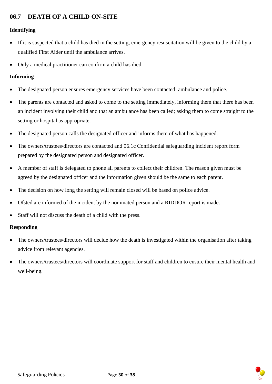# **06.7 DEATH OF A CHILD ON-SITE**

# **Identifying**

- If it is suspected that a child has died in the setting, emergency resuscitation will be given to the child by a qualified First Aider until the ambulance arrives.
- Only a medical practitioner can confirm a child has died.

# **Informing**

- The designated person ensures emergency services have been contacted; ambulance and police.
- The parents are contacted and asked to come to the setting immediately, informing them that there has been an incident involving their child and that an ambulance has been called; asking them to come straight to the setting or hospital as appropriate.
- The designated person calls the designated officer and informs them of what has happened.
- The owners/trustees/directors are contacted and 06.1c Confidential safeguarding incident report form prepared by the designated person and designated officer.
- A member of staff is delegated to phone all parents to collect their children. The reason given must be agreed by the designated officer and the information given should be the same to each parent.
- The decision on how long the setting will remain closed will be based on police advice.
- Ofsted are informed of the incident by the nominated person and a RIDDOR report is made.
- Staff will not discuss the death of a child with the press.

# **Responding**

- The owners/trustees/directors will decide how the death is investigated within the organisation after taking advice from relevant agencies.
- The owners/trustees/directors will coordinate support for staff and children to ensure their mental health and well-being.

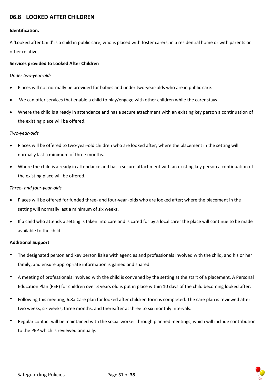# **06.8 LOOKED AFTER CHILDREN**

### **Identification.**

A 'Looked after Child' is a child in public care, who is placed with foster carers, in a residential home or with parents or other relatives.

### **Services provided to Looked After Children**

### *Under two-year-olds*

- Places will not normally be provided for babies and under two-year-olds who are in public care.
- We can offer services that enable a child to play/engage with other children while the carer stays.
- Where the child is already in attendance and has a secure attachment with an existing key person a continuation of the existing place will be offered.

### *Two-year-olds*

- Places will be offered to two-year-old children who are looked after; where the placement in the setting will normally last a minimum of three months.
- Where the child is already in attendance and has a secure attachment with an existing key person a continuation of the existing place will be offered.

### *Three- and four-year-olds*

- Places will be offered for funded three- and four-year -olds who are looked after; where the placement in the setting will normally last a minimum of six weeks.
- If a child who attends a setting is taken into care and is cared for by a local carer the place will continue to be made available to the child.

### **Additional Support**

- The designated person and key person liaise with agencies and professionals involved with the child, and his or her family, and ensure appropriate information is gained and shared.
- A meeting of professionals involved with the child is convened by the setting at the start of a placement. A Personal Education Plan (PEP) for children over 3 years old is put in place within 10 days of the child becoming looked after.
- Following this meeting, 6.8a Care plan for looked after children form is completed. The care plan is reviewed after two weeks, six weeks, three months, and thereafter at three to six monthly intervals.
- Regular contact will be maintained with the social worker through planned meetings, which will include contribution to the PEP which is reviewed annually.

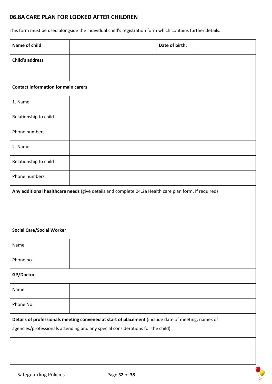# **06.8A CARE PLAN FOR LOOKED AFTER CHILDREN**

This form must be used alongside the individual child's registration form which contains further details.

| Name of child                                                                  |                                                                                                      | Date of birth: |  |  |  |
|--------------------------------------------------------------------------------|------------------------------------------------------------------------------------------------------|----------------|--|--|--|
| <b>Child's address</b>                                                         |                                                                                                      |                |  |  |  |
|                                                                                |                                                                                                      |                |  |  |  |
| <b>Contact information for main carers</b>                                     |                                                                                                      |                |  |  |  |
| 1. Name                                                                        |                                                                                                      |                |  |  |  |
| Relationship to child                                                          |                                                                                                      |                |  |  |  |
| Phone numbers                                                                  |                                                                                                      |                |  |  |  |
| 2. Name                                                                        |                                                                                                      |                |  |  |  |
| Relationship to child                                                          |                                                                                                      |                |  |  |  |
| Phone numbers                                                                  |                                                                                                      |                |  |  |  |
|                                                                                | Any additional healthcare needs (give details and complete 04.2a Health care plan form, if required) |                |  |  |  |
|                                                                                |                                                                                                      |                |  |  |  |
|                                                                                |                                                                                                      |                |  |  |  |
| <b>Social Care/Social Worker</b>                                               |                                                                                                      |                |  |  |  |
| Name                                                                           |                                                                                                      |                |  |  |  |
| Phone no.                                                                      |                                                                                                      |                |  |  |  |
| GP/Doctor                                                                      |                                                                                                      |                |  |  |  |
| Name                                                                           |                                                                                                      |                |  |  |  |
| Phone No.                                                                      |                                                                                                      |                |  |  |  |
|                                                                                | Details of professionals meeting convened at start of placement (include date of meeting, names of   |                |  |  |  |
| agencies/professionals attending and any special considerations for the child) |                                                                                                      |                |  |  |  |
|                                                                                |                                                                                                      |                |  |  |  |

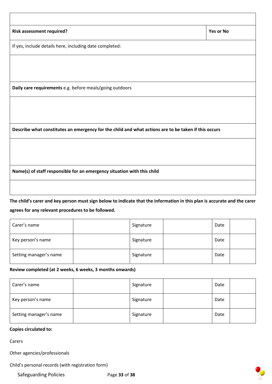| <b>Risk assessment required?</b>                                                                     | <b>Yes or No</b> |  |  |  |
|------------------------------------------------------------------------------------------------------|------------------|--|--|--|
| If yes, include details here, including date completed:                                              |                  |  |  |  |
|                                                                                                      |                  |  |  |  |
|                                                                                                      |                  |  |  |  |
| Daily care requirements e.g. before meals/going outdoors                                             |                  |  |  |  |
|                                                                                                      |                  |  |  |  |
|                                                                                                      |                  |  |  |  |
| Describe what constitutes an emergency for the child and what actions are to be taken if this occurs |                  |  |  |  |
|                                                                                                      |                  |  |  |  |
|                                                                                                      |                  |  |  |  |
| Name(s) of staff responsible for an emergency situation with this child                              |                  |  |  |  |
|                                                                                                      |                  |  |  |  |

**The child's carer and key person must sign below to indicate that the information in this plan is accurate and the carer agrees for any relevant procedures to be followed.**

| Carer's name           | Signature | Date |  |
|------------------------|-----------|------|--|
| Key person's name      | Signature | Date |  |
| Setting manager's name | Signature | Date |  |

**Review completed (at 2 weeks, 6 weeks, 3 months onwards)**

| Carer's name           | Signature | Date |  |
|------------------------|-----------|------|--|
| Key person's name      | Signature | Date |  |
| Setting manager's name | Signature | Date |  |

# **Copies circulated to:**

Carers

Other agencies/professionals

Child's personal records (with registration form)

Safeguarding Policies Page **33** of **38**

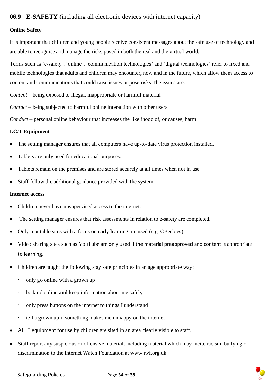# **06.9 E-SAFETY** (including all electronic devices with internet capacity)

# **Online Safety**

It is important that children and young people receive consistent messages about the safe use of technology and are able to recognise and manage the risks posed in both the real and the virtual world.

Terms such as 'e-safety', 'online', 'communication technologies' and 'digital technologies' refer to fixed and mobile technologies that adults and children may encounter, now and in the future, which allow them access to content and communications that could raise issues or pose risks.The issues are:

*Content* – being exposed to illegal, inappropriate or harmful material

*Contact* – being subjected to harmful online interaction with other users

*Conduct* – personal online behaviour that increases the likelihood of, or causes, harm

# **I.C.T Equipment**

- The setting manager ensures that all computers have up-to-date virus protection installed.
- Tablets are only used for educational purposes.
- Tablets remain on the premises and are stored securely at all times when not in use.
- Staff follow the additional guidance provided with the system

# **Internet access**

- Children never have unsupervised access to the internet.
- The setting manager ensures that risk assessments in relation to e-safety are completed.
- Only reputable sites with a focus on early learning are used (e.g. CBeebies).
- Video sharing sites such as YouTube are only used if the material preapproved and content is appropriate to learning.
- Children are taught the following stay safe principles in an age appropriate way:
	- only go online with a grown up
	- be kind online and keep information about me safely
	- only press buttons on the internet to things I understand
	- tell a grown up if something makes me unhappy on the internet
- All IT equipment for use by children are sited in an area clearly visible to staff.
- Staff report any suspicious or offensive material, including material which may incite racism, bullying or discrimination to the Internet Watch Foundation at [www.iwf.org.uk.](http://www.iwf.org.uk/)

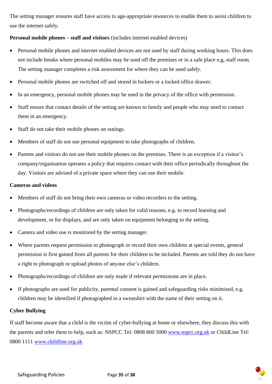The setting manager ensures staff have access to age-appropriate resources to enable them to assist children to use the internet safely.

# **Personal mobile phones – staff and visitors** (includes internet enabled devices)

- Personal mobile phones and internet enabled devices are not used by staff during working hours. This does not include breaks where personal mobiles may be used off the premises or in a safe place e,g, staff room. The setting manager completes a risk assessment for where they can be used safely.
- Personal mobile phones are switched off and stored in lockers or a locked office drawer.
- In an emergency, personal mobile phones may be used in the privacy of the office with permission.
- Staff ensure that contact details of the setting are known to family and people who may need to contact them in an emergency.
- Staff do not take their mobile phones on outings.
- Members of staff do not use personal equipment to take photographs of children.
- Parents and visitors do not use their mobile phones on the premises. There is an exception if a visitor's company/organisation operates a policy that requires contact with their office periodically throughout the day. Visitors are advised of a private space where they can use their mobile.

# **Cameras and videos**

- Members of staff do not bring their own cameras or video recorders to the setting.
- Photographs/recordings of children are only taken for valid reasons, e.g. to record learning and development, or for displays, and are only taken on equipment belonging to the setting.
- Camera and video use is monitored by the setting manager.
- Where parents request permission to photograph or record their own children at special events, general permission is first gained from all parents for their children to be included. Parents are told they do not have a right to photograph or upload photos of anyone else's children.
- Photographs/recordings of children are only made if relevant permissions are in place.
- If photographs are used for publicity, parental consent is gained and safeguarding risks minimised, e.g. children may be identified if photographed in a sweatshirt with the name of their setting on it.

# **Cyber Bullying**

If staff become aware that a child is the victim of cyber-bullying at home or elsewhere, they discuss this with the parents and refer them to help, such as: NSPCC Tel: 0808 800 5000 [www.nspcc.org.uk](http://www.nspcc.org.uk/) or ChildLine Tel: 0800 1111 [www.childline.org.uk](http://www.childline.org.uk/)





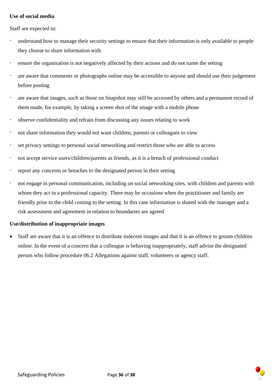# **Use of social media**

Staff are expected to:

- understand how to manage their security settings to ensure that their information is only available to people they choose to share information with
- ensure the organisation is not negatively affected by their actions and do not name the setting
- are aware that comments or photographs online may be accessible to anyone and should use their judgement before posting
- are aware that images, such as those on Snapshot may still be accessed by others and a permanent record of them made, for example, by taking a screen shot of the image with a mobile phone
- observe confidentiality and refrain from discussing any issues relating to work
- not share information they would not want children, parents or colleagues to view
- set privacy settings to personal social networking and restrict those who are able to access
- not accept service users/children/parents as friends, as it is a breach of professional conduct
- report any concerns or breaches to the designated person in their setting
- not engage in personal communication, including on social networking sites, with children and parents with whom they act in a professional capacity. There may be occasions when the practitioner and family are friendly prior to the child coming to the setting. In this case information is shared with the manager and a risk assessment and agreement in relation to boundaries are agreed

# **Use/distribution of inappropriate images**

Staff are aware that it is an offence to distribute indecent images and that it is an offence to groom children online. In the event of a concern that a colleague is behaving inappropriately, staff advise the designated person who follow procedure 06.2 Allegations against staff, volunteers or agency staff.

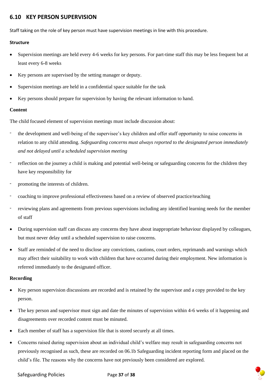# **6.10 KEY PERSON SUPERVISION**

Staff taking on the role of key person must have supervision meetings in line with this procedure.

### **Structure**

- Supervision meetings are held every 4-6 weeks for key persons. For part-time staff this may be less frequent but at least every 6-8 weeks
- Key persons are supervised by the setting manager or deputy.
- Supervision meetings are held in a confidential space suitable for the task
- Key persons should prepare for supervision by having the relevant information to hand.

# **Content**

The child focused element of supervision meetings must include discussion about:

- the development and well-being of the supervisee's key children and offer staff opportunity to raise concerns in relation to any child attending. *Safeguarding concerns must always reported to the designated person immediately and not delayed until a scheduled supervision meeting*
- reflection on the journey a child is making and potential well-being or safeguarding concerns for the children they have key responsibility for
- promoting the interests of children.
- coaching to improve professional effectiveness based on a review of observed practice/teaching
- reviewing plans and agreements from previous supervisions including any identified learning needs for the member of staff
- During supervision staff can discuss any concerns they have about inappropriate behaviour displayed by colleagues, but must never delay until a scheduled supervision to raise concerns.
- Staff are reminded of the need to disclose any convictions, cautions, court orders, reprimands and warnings which may affect their suitability to work with children that have occurred during their employment. New information is referred immediately to the designated officer.

# **Recording**

- Key person supervision discussions are recorded and is retained by the supervisor and a copy provided to the key person.
- The key person and supervisor must sign and date the minutes of supervision within 4-6 weeks of it happening and disagreements over recorded content must be minuted.
- Each member of staff has a supervision file that is stored securely at all times.
- Concerns raised during supervision about an individual child's welfare may result in safeguarding concerns not previously recognised as such, these are recorded on 06.1b Safeguarding incident reporting form and placed on the child's file. The reasons why the concerns have not previously been considered are explored.